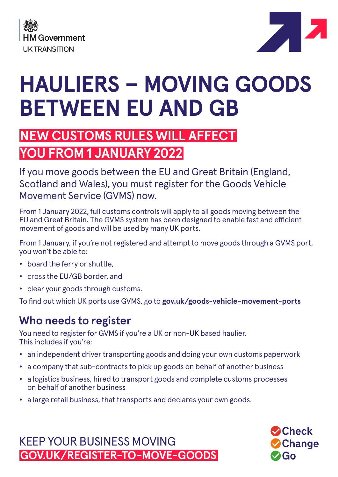



**O**Check

 $\lambda$ Go

**Change** 

# **HAULIERS – MOVING GOODS BETWEEN EU AND GB**

## **NEW CUSTOMS RULES WILL AFFECT YOU FROM 1 JANUARY 2022**

If you move goods between the EU and Great Britain (England, Scotland and Wales), you must register for the Goods Vehicle Movement Service (GVMS) now.

From 1 January 2022, full customs controls will apply to all goods moving between the EU and Great Britain. The GVMS system has been designed to enable fast and efficient movement of goods and will be used by many UK ports.

From 1 January, if you're not registered and attempt to move goods through a GVMS port, you won't be able to:

- **•** board the ferry or shuttle,
- **•** cross the EU/GB border, and
- **•** clear your goods through customs.

To find out which UK ports use GVMS, go to **[gov.uk/goods-vehicle-movement-ports](http://gov.uk/goods-vehicle-movement-ports)**

### **Who needs to register**

You need to register for GVMS if you're a UK or non-UK based haulier. This includes if you're:

- **•** an independent driver transporting goods and doing your own customs paperwork
- **•** a company that sub-contracts to pick up goods on behalf of another business
- **•** a logistics business, hired to transport goods and complete customs processes on behalf of another business
- **•** a large retail business, that transports and declares your own goods.